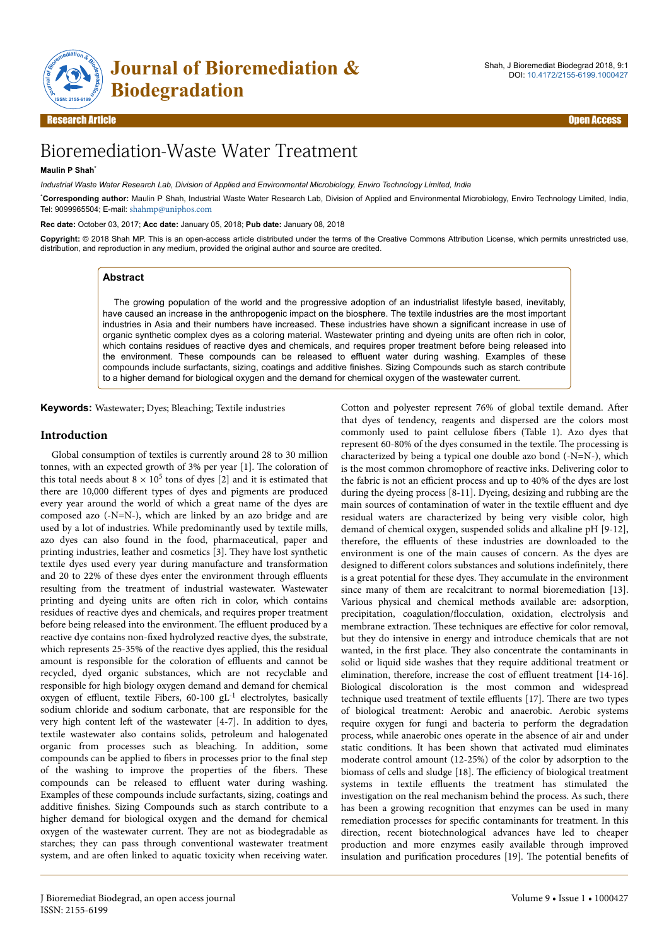

Research Article Open Access

# Bioremediation-Waste Water Treatment

## **Maulin P Shah**\*

*Industrial Waste Water Research Lab, Division of Applied and Environmental Microbiology, Enviro Technology Limited, India*

\***Corresponding author:** Maulin P Shah, Industrial Waste Water Research Lab, Division of Applied and Environmental Microbiology, Enviro Technology Limited, India, Tel: 9099965504; E-mail: [shahmp@uniphos.com](mailto:shahmp@uniphos.com)

**Rec date:** October 03, 2017; **Acc date:** January 05, 2018; **Pub date:** January 08, 2018

**Copyright:** © 2018 Shah MP. This is an open-access article distributed under the terms of the Creative Commons Attribution License, which permits unrestricted use, distribution, and reproduction in any medium, provided the original author and source are credited.

## **Abstract**

The growing population of the world and the progressive adoption of an industrialist lifestyle based, inevitably, have caused an increase in the anthropogenic impact on the biosphere. The textile industries are the most important industries in Asia and their numbers have increased. These industries have shown a significant increase in use of organic synthetic complex dyes as a coloring material. Wastewater printing and dyeing units are often rich in color, which contains residues of reactive dyes and chemicals, and requires proper treatment before being released into the environment. These compounds can be released to effluent water during washing. Examples of these compounds include surfactants, sizing, coatings and additive finishes. Sizing Compounds such as starch contribute to a higher demand for biological oxygen and the demand for chemical oxygen of the wastewater current.

**Keywords:** Wastewater; Dyes; Bleaching; Textile industries

## **Introduction**

Global consumption of textiles is currently around 28 to 30 million tonnes, with an expected growth of 3% per year [1]. Нe coloration of this total needs about  $8 \times 10^5$  tons of dyes [2] and it is estimated that there are 10,000 different types of dyes and pigments are produced every year around the world of which a great name of the dyes are composed azo (-N=N-), which are linked by an azo bridge and are used by a lot of industries. While predominantly used by textile mills, azo dyes can also found in the food, pharmaceutical, paper and printing industries, leather and cosmetics [3]. Нey have lost synthetic textile dyes used every year during manufacture and transformation and 20 to 22% of these dyes enter the environment through effluents resulting from the treatment of industrial wastewater. Wastewater printing and dyeing units are often rich in color, which contains residues of reactive dyes and chemicals, and requires proper treatment before being released into the environment. The effluent produced by a reactive dye contains non-fixed hydrolyzed reactive dyes, the substrate, which represents 25-35% of the reactive dyes applied, this the residual amount is responsible for the coloration of effluents and cannot be recycled, dyed organic substances, which are not recyclable and responsible for high biology oxygen demand and demand for chemical oxygen of effluent, textile Fibers,  $60-100$  gL<sup>-1</sup> electrolytes, basically sodium chloride and sodium carbonate, that are responsible for the very high content left of the wastewater  $[4-7]$ . In addition to dyes, textile wastewater also contains solids, petroleum and halogenated organic from processes such as bleaching. In addition, some compounds can be applied to fibers in processes prior to the final step of the washing to improve the properties of the fibers. Нese compounds can be released to effluent water during washing. Examples of these compounds include surfactants, sizing, coatings and additive finishes. Sizing Compounds such as starch contribute to a higher demand for biological oxygen and the demand for chemical oxygen of the wastewater current. Нey are not as biodegradable as starches; they can pass through conventional wastewater treatment system, and are often linked to aquatic toxicity when receiving water.

Cotton and polyester represent 76% of global textile demand. After that dyes of tendency, reagents and dispersed are the colors most commonly used to paint cellulose fibers (Table 1). Azo dyes that represent 60-80% of the dyes consumed in the textile. Нe processing is characterized by being a typical one double azo bond (-N=N-), which is the most common chromophore of reactive inks. Delivering color to the fabric is not an efficient process and up to 40% of the dyes are lost during the dyeing process [8-11]. Dyeing, desizing and rubbing are the main sources of contamination of water in the textile effluent and dye residual waters are characterized by being very visible color, high demand of chemical oxygen, suspended solids and alkaline pH [9-12], therefore, the effluents of these industries are downloaded to the environment is one of the main causes of concern. As the dyes are designed to different colors substances and solutions indefinitely, there is a great potential for these dyes. Нey accumulate in the environment since many of them are recalcitrant to normal bioremediation [13]. Various physical and chemical methods available are: adsorption, precipitation, coagulation/flocculation, oxidation, electrolysis and membrane extraction. These techniques are effective for color removal, but they do intensive in energy and introduce chemicals that are not wanted, in the first place. Нey also concentrate the contaminants in solid or liquid side washes that they require additional treatment or elimination, therefore, increase the cost of effluent treatment [14-16]. Biological discoloration is the most common and widespread technique used treatment of textile effluents [17]. Нere are two types of biological treatment: Aerobic and anaerobic. Aerobic systems require oxygen for fungi and bacteria to perform the degradation process, while anaerobic ones operate in the absence of air and under static conditions. It has been shown that activated mud eliminates moderate control amount (12-25%) of the color by adsorption to the biomass of cells and sludge [18]. Нe efficiency of biological treatment systems in textile effluents the treatment has stimulated the investigation on the real mechanism behind the process. As such, there has been a growing recognition that enzymes can be used in many remediation processes for specific contaminants for treatment. In this direction, recent biotechnological advances have led to cheaper production and more enzymes easily available through improved insulation and purification procedures [19]. Нe potential benefits of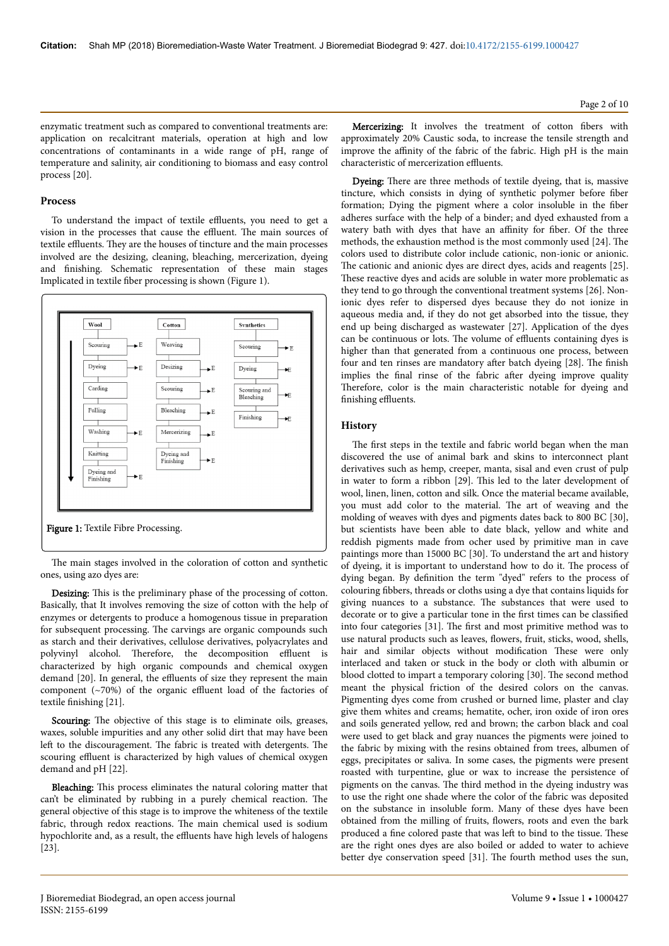enzymatic treatment such as compared to conventional treatments are: application on recalcitrant materials, operation at high and low concentrations of contaminants in a wide range of pH, range of temperature and salinity, air conditioning to biomass and easy control process [20].

#### **Process**

To understand the impact of textile effluents, you need to get a vision in the processes that cause the effluent. Нe main sources of textile effluents. Нey are the houses of tincture and the main processes involved are the desizing, cleaning, bleaching, mercerization, dyeing and finishing. Schematic representation of these main stages Implicated in textile fiber processing is shown (Figure 1).



The main stages involved in the coloration of cotton and synthetic ones, using azo dyes are:

Desizing: Нis is the preliminary phase of the processing of cotton. Basically, that It involves removing the size of cotton with the help of enzymes or detergents to produce a homogenous tissue in preparation for subsequent processing. Нe carvings are organic compounds such as starch and their derivatives, cellulose derivatives, polyacrylates and polyvinyl alcohol. Нerefore, the decomposition effluent is characterized by high organic compounds and chemical oxygen demand [20]. In general, the effluents of size they represent the main component (~70%) of the organic effluent load of the factories of textile finishing [21].

Scouring: The objective of this stage is to eliminate oils, greases, waxes, soluble impurities and any other solid dirt that may have been left to the discouragement. The fabric is treated with detergents. The scouring effluent is characterized by high values of chemical oxygen demand and pH [22].

Bleaching: This process eliminates the natural coloring matter that can't be eliminated by rubbing in a purely chemical reaction. Нe general objective of this stage is to improve the whiteness of the textile fabric, through redox reactions. Нe main chemical used is sodium hypochlorite and, as a result, the effluents have high levels of halogens [23].

Page 2 of 10

Mercerizing: It involves the treatment of cotton fibers with approximately 20% Caustic soda, to increase the tensile strength and improve the affinity of the fabric of the fabric. High pH is the main characteristic of mercerization effluents.

Dyeing: Нere are three methods of textile dyeing, that is, massive tincture, which consists in dying of synthetic polymer before fiber formation; Dying the pigment where a color insoluble in the fiber adheres surface with the help of a binder; and dyed exhausted from a watery bath with dyes that have an affinity for fiber. Of the three methods, the exhaustion method is the most commonly used [24]. Нe colors used to distribute color include cationic, non-ionic or anionic. The cationic and anionic dyes are direct dyes, acids and reagents [25]. These reactive dyes and acids are soluble in water more problematic as they tend to go through the conventional treatment systems [26]. Nonionic dyes refer to dispersed dyes because they do not ionize in aqueous media and, if they do not get absorbed into the tissue, they end up being discharged as wastewater [27]. Application of the dyes can be continuous or lots. Нe volume of effluents containing dyes is higher than that generated from a continuous one process, between four and ten rinses are mandatory after batch dyeing [28]. The finish implies the final rinse of the fabric after dyeing improve quality Therefore, color is the main characteristic notable for dyeing and finishing effluents.

## **History**

The first steps in the textile and fabric world began when the man discovered the use of animal bark and skins to interconnect plant derivatives such as hemp, creeper, manta, sisal and even crust of pulp in water to form a ribbon [29]. Нis led to the later development of wool, linen, linen, cotton and silk. Once the material became available, you must add color to the material. Нe art of weaving and the molding of weaves with dyes and pigments dates back to 800 BC [30], but scientists have been able to date black, yellow and white and reddish pigments made from ocher used by primitive man in cave paintings more than 15000 BC [30]. To understand the art and history of dyeing, it is important to understand how to do it. Нe process of dying began. By definition the term "dyed" refers to the process of colouring fibbers, threads or cloths using a dye that contains liquids for giving nuances to a substance. Нe substances that were used to decorate or to give a particular tone in the first times can be classified into four categories [31]. Нe first and most primitive method was to use natural products such as leaves, flowers, fruit, sticks, wood, shells, hair and similar objects without modification These were only interlaced and taken or stuck in the body or cloth with albumin or blood clotted to impart a temporary coloring [30]. Нe second method meant the physical friction of the desired colors on the canvas. Pigmenting dyes come from crushed or burned lime, plaster and clay give them whites and creams; hematite, ocher, iron oxide of iron ores and soils generated yellow, red and brown; the carbon black and coal were used to get black and gray nuances the pigments were joined to the fabric by mixing with the resins obtained from trees, albumen of eggs, precipitates or saliva. In some cases, the pigments were present roasted with turpentine, glue or wax to increase the persistence of pigments on the canvas. Нe third method in the dyeing industry was to use the right one shade where the color of the fabric was deposited on the substance in insoluble form. Many of these dyes have been obtained from the milling of fruits, flowers, roots and even the bark produced a fine colored paste that was left to bind to the tissue. These are the right ones dyes are also boiled or added to water to achieve better dye conservation speed [31]. Нe fourth method uses the sun,

J Bioremediat Biodegrad, an open access journal ISSN: 2155-6199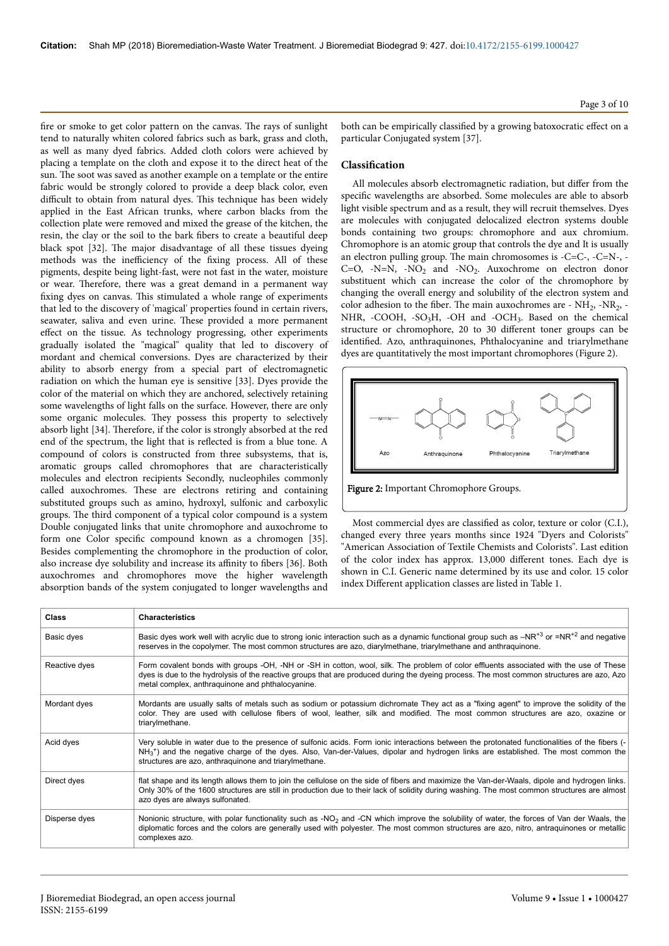fire or smoke to get color pattern on the canvas. Нe rays of sunlight tend to naturally whiten colored fabrics such as bark, grass and cloth, as well as many dyed fabrics. Added cloth colors were achieved by placing a template on the cloth and expose it to the direct heat of the sun. Нe soot was saved as another example on a template or the entire fabric would be strongly colored to provide a deep black color, even difficult to obtain from natural dyes. Нis technique has been widely applied in the East African trunks, where carbon blacks from the collection plate were removed and mixed the grease of the kitchen, the resin, the clay or the soil to the bark fibers to create a beautiful deep black spot [32]. Нe major disadvantage of all these tissues dyeing methods was the inefficiency of the fixing process. All of these pigments, despite being light-fast, were not fast in the water, moisture or wear. Нerefore, there was a great demand in a permanent way fixing dyes on canvas. Нis stimulated a whole range of experiments that led to the discovery of 'magical' properties found in certain rivers, seawater, saliva and even urine. Нese provided a more permanent effect on the tissue. As technology progressing, other experiments gradually isolated the "magical" quality that led to discovery of mordant and chemical conversions. Dyes are characterized by their ability to absorb energy from a special part of electromagnetic radiation on which the human eye is sensitive [33]. Dyes provide the color of the material on which they are anchored, selectively retaining some wavelengths of light falls on the surface. However, there are only some organic molecules. Нey possess this property to selectively absorb light [34]. Нerefore, if the color is strongly absorbed at the red end of the spectrum, the light that is reflected is from a blue tone. A compound of colors is constructed from three subsystems, that is, aromatic groups called chromophores that are characteristically molecules and electron recipients Secondly, nucleophiles commonly called auxochromes. Нese are electrons retiring and containing substituted groups such as amino, hydroxyl, sulfonic and carboxylic groups. Нe third component of a typical color compound is a system Double conjugated links that unite chromophore and auxochrome to form one Color specific compound known as a chromogen [35]. Besides complementing the chromophore in the production of color, also increase dye solubility and increase its affinity to fibers [36]. Both auxochromes and chromophores move the higher wavelength absorption bands of the system conjugated to longer wavelengths and

Page 3 of 10

both can be empirically classified by a growing batoxocratic effect on a particular Conjugated system [37].

## **Classification**

All molecules absorb electromagnetic radiation, but differ from the specific wavelengths are absorbed. Some molecules are able to absorb light visible spectrum and as a result, they will recruit themselves. Dyes are molecules with conjugated delocalized electron systems double bonds containing two groups: chromophore and aux chromium. Chromophore is an atomic group that controls the dye and It is usually an electron pulling group. Нe main chromosomes is -C=C-, -C=N-, -  $C=O$ ,  $-N=N$ ,  $-NO<sub>2</sub>$  and  $-NO<sub>2</sub>$ . Auxochrome on electron donor substituent which can increase the color of the chromophore by changing the overall energy and solubility of the electron system and color adhesion to the fiber. The main auxochromes are  $\text{-} NH_2$ ,  $\text{-}NR_2$ ,  $\text{-}$ NHR,  $-COOH$ ,  $-SO<sub>3</sub>H$ ,  $-OH$  and  $-OCH<sub>3</sub>$ . Based on the chemical structure or chromophore, 20 to 30 different toner groups can be identified. Azo, anthraquinones, Phthalocyanine and triarylmethane dyes are quantitatively the most important chromophores (Figure 2).



Most commercial dyes are classified as color, texture or color (C.I.), changed every three years months since 1924 "Dyers and Colorists" "American Association of Textile Chemists and Colorists". Last edition of the color index has approx. 13,000 different tones. Each dye is shown in C.I. Generic name determined by its use and color. 15 color index Different application classes are listed in Table 1.

| <b>Class</b>  | <b>Characteristics</b>                                                                                                                                                                                                                                                                                                                                   |
|---------------|----------------------------------------------------------------------------------------------------------------------------------------------------------------------------------------------------------------------------------------------------------------------------------------------------------------------------------------------------------|
| Basic dyes    | Basic dyes work well with acrylic due to strong ionic interaction such as a dynamic functional group such as $-NR^{+3}$ or $=NR^{+2}$ and negative<br>reserves in the copolymer. The most common structures are azo, diarylmethane, triarylmethane and anthraguinone.                                                                                    |
| Reactive dyes | Form covalent bonds with groups -OH, -NH or -SH in cotton, wool, silk. The problem of color effluents associated with the use of These<br>dyes is due to the hydrolysis of the reactive groups that are produced during the dyeing process. The most common structures are azo, Azo<br>metal complex, anthraguinone and phthalocyanine.                  |
| Mordant dyes  | Mordants are usually salts of metals such as sodium or potassium dichromate They act as a "fixing agent" to improve the solidity of the<br>color. They are used with cellulose fibers of wool, leather, silk and modified. The most common structures are azo, oxazine or<br>triarylmethane.                                                             |
| Acid dyes     | Very soluble in water due to the presence of sulfonic acids. Form ionic interactions between the protonated functionalities of the fibers (-<br>$NH3$ <sup>+</sup> ) and the negative charge of the dyes. Also, Van-der-Values, dipolar and hydrogen links are established. The most common the<br>structures are azo, anthraguinone and triarylmethane. |
| Direct dyes   | flat shape and its length allows them to join the cellulose on the side of fibers and maximize the Van-der-Waals, dipole and hydrogen links.<br>Only 30% of the 1600 structures are still in production due to their lack of solidity during washing. The most common structures are almost<br>azo dyes are always sulfonated.                           |
| Disperse dyes | Nonionic structure, with polar functionality such as -NO <sub>2</sub> and -CN which improve the solubility of water, the forces of Van der Waals, the<br>diplomatic forces and the colors are generally used with polyester. The most common structures are azo, nitro, antraquinones or metallic<br>complexes azo.                                      |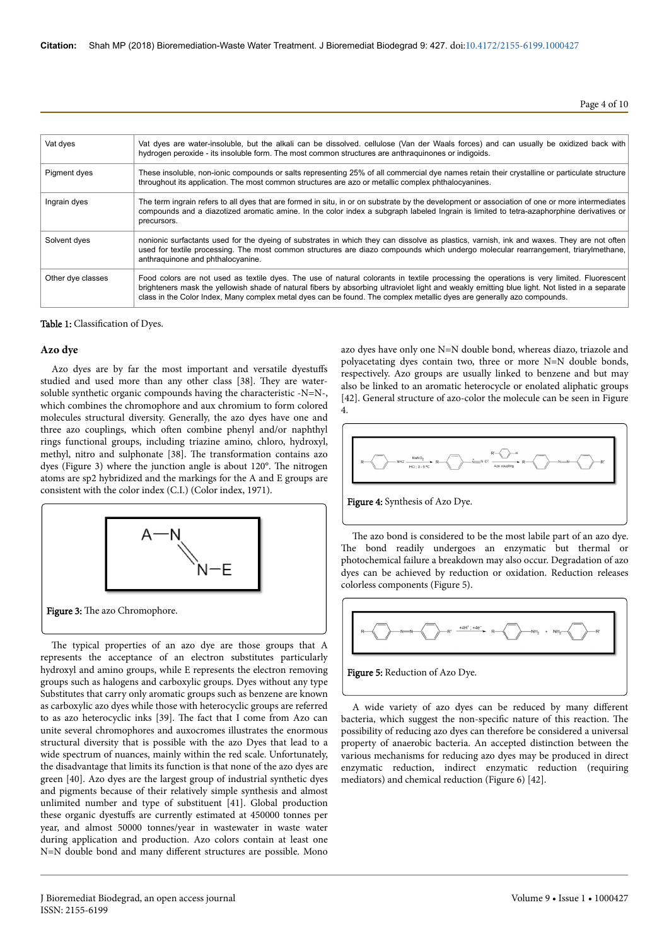Page 4 of 10

| Vat dyes          | Vat dyes are water-insoluble, but the alkali can be dissolved, cellulose (Van der Waals forces) and can usually be oxidized back with<br>hydrogen peroxide - its insoluble form. The most common structures are anthraguinones or indigoids.                                                                                                                                                                         |
|-------------------|----------------------------------------------------------------------------------------------------------------------------------------------------------------------------------------------------------------------------------------------------------------------------------------------------------------------------------------------------------------------------------------------------------------------|
| Pigment dyes      | These insoluble, non-ionic compounds or salts representing 25% of all commercial dye names retain their crystalline or particulate structure<br>throughout its application. The most common structures are azo or metallic complex phthalocyanines.                                                                                                                                                                  |
| Ingrain dyes      | The term ingrain refers to all dyes that are formed in situ, in or on substrate by the development or association of one or more intermediates<br>compounds and a diazotized aromatic amine. In the color index a subgraph labeled Ingrain is limited to tetra-azaphorphine derivatives or<br>precursors.                                                                                                            |
| Solvent dyes      | nonionic surfactants used for the dyeing of substrates in which they can dissolve as plastics, varnish, ink and waxes. They are not often<br>used for textile processing. The most common structures are diazo compounds which undergo molecular rearrangement, triarylmethane,<br>anthraguinone and phthalocyanine.                                                                                                 |
| Other dye classes | Food colors are not used as textile dyes. The use of natural colorants in textile processing the operations is very limited. Fluorescent<br>brighteners mask the yellowish shade of natural fibers by absorbing ultraviolet light and weakly emitting blue light. Not listed in a separate<br>class in the Color Index. Many complex metal dyes can be found. The complex metallic dyes are generally azo compounds. |

#### Table 1: Classification of Dyes.

#### **Azo dye**

Azo dyes are by far the most important and versatile dyestuffs studied and used more than any other class [38]. Нey are watersoluble synthetic organic compounds having the characteristic -N=N-, which combines the chromophore and aux chromium to form colored molecules structural diversity. Generally, the azo dyes have one and three azo couplings, which often combine phenyl and/or naphthyl rings functional groups, including triazine amino, chloro, hydroxyl, methyl, nitro and sulphonate [38]. Нe transformation contains azo dyes (Figure 3) where the junction angle is about 120°. Нe nitrogen atoms are sp2 hybridized and the markings for the A and E groups are consistent with the color index (C.I.) (Color index, 1971).



The typical properties of an azo dye are those groups that A represents the acceptance of an electron substitutes particularly hydroxyl and amino groups, while E represents the electron removing groups such as halogens and carboxylic groups. Dyes without any type Substitutes that carry only aromatic groups such as benzene are known as carboxylic azo dyes while those with heterocyclic groups are referred to as azo heterocyclic inks [39]. Нe fact that I come from Azo can unite several chromophores and auxocromes illustrates the enormous structural diversity that is possible with the azo Dyes that lead to a wide spectrum of nuances, mainly within the red scale. Unfortunately, the disadvantage that limits its function is that none of the azo dyes are green [40]. Azo dyes are the largest group of industrial synthetic dyes and pigments because of their relatively simple synthesis and almost unlimited number and type of substituent [41]. Global production these organic dyestuffs are currently estimated at 450000 tonnes per year, and almost 50000 tonnes/year in wastewater in waste water during application and production. Azo colors contain at least one N=N double bond and many different structures are possible. Mono

azo dyes have only one N=N double bond, whereas diazo, triazole and polyacetating dyes contain two, three or more N=N double bonds, respectively. Azo groups are usually linked to benzene and but may also be linked to an aromatic heterocycle or enolated aliphatic groups [42]. General structure of azo-color the molecule can be seen in Figure 4.



Figure 4: Synthesis of Azo Dye.

The azo bond is considered to be the most labile part of an azo dye. The bond readily undergoes an enzymatic but thermal or photochemical failure a breakdown may also occur. Degradation of azo dyes can be achieved by reduction or oxidation. Reduction releases colorless components (Figure 5).



A wide variety of azo dyes can be reduced by many different bacteria, which suggest the non-specific nature of this reaction. Нe possibility of reducing azo dyes can therefore be considered a universal property of anaerobic bacteria. An accepted distinction between the various mechanisms for reducing azo dyes may be produced in direct enzymatic reduction, indirect enzymatic reduction (requiring mediators) and chemical reduction (Figure 6) [42].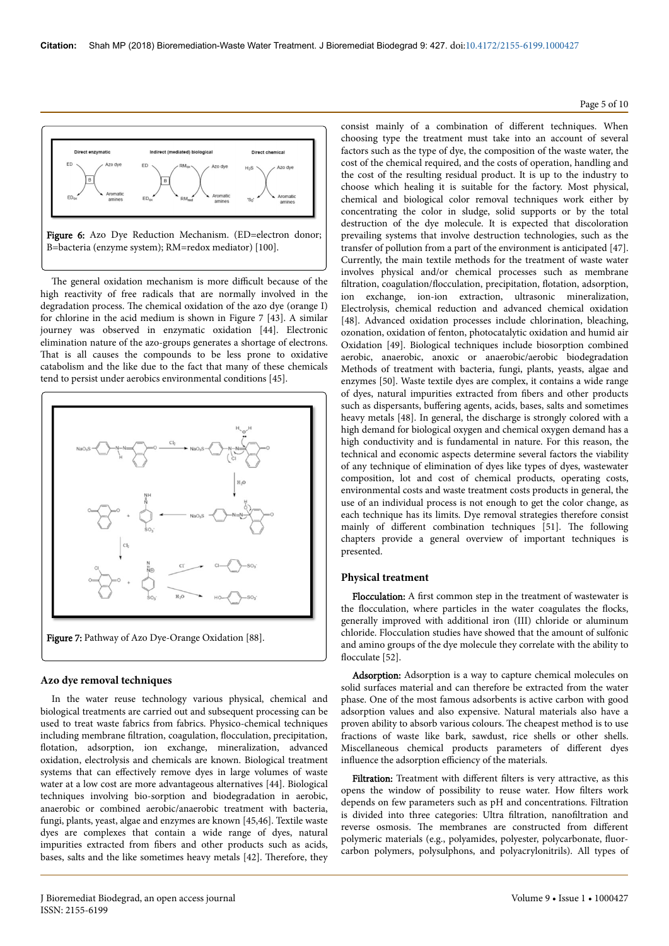

The general oxidation mechanism is more difficult because of the high reactivity of free radicals that are normally involved in the degradation process. Нe chemical oxidation of the azo dye (orange I) for chlorine in the acid medium is shown in Figure 7 [43]. A similar journey was observed in enzymatic oxidation [44]. Electronic elimination nature of the azo-groups generates a shortage of electrons. That is all causes the compounds to be less prone to oxidative catabolism and the like due to the fact that many of these chemicals tend to persist under aerobics environmental conditions [45].



Figure 7: Pathway of Azo Dye-Orange Oxidation [88].

### **Azo dye removal techniques**

In the water reuse technology various physical, chemical and biological treatments are carried out and subsequent processing can be used to treat waste fabrics from fabrics. Physico-chemical techniques including membrane filtration, coagulation, flocculation, precipitation, flotation, adsorption, ion exchange, mineralization, advanced oxidation, electrolysis and chemicals are known. Biological treatment systems that can effectively remove dyes in large volumes of waste water at a low cost are more advantageous alternatives [44]. Biological techniques involving bio-sorption and biodegradation in aerobic, anaerobic or combined aerobic/anaerobic treatment with bacteria, fungi, plants, yeast, algae and enzymes are known [45,46]. Textile waste dyes are complexes that contain a wide range of dyes, natural impurities extracted from fibers and other products such as acids, bases, salts and the like sometimes heavy metals [42]. Нerefore, they

consist mainly of a combination of different techniques. When choosing type the treatment must take into an account of several factors such as the type of dye, the composition of the waste water, the cost of the chemical required, and the costs of operation, handling and the cost of the resulting residual product. It is up to the industry to choose which healing it is suitable for the factory. Most physical, chemical and biological color removal techniques work either by concentrating the color in sludge, solid supports or by the total destruction of the dye molecule. It is expected that discoloration prevailing systems that involve destruction technologies, such as the transfer of pollution from a part of the environment is anticipated [47]. Currently, the main textile methods for the treatment of waste water involves physical and/or chemical processes such as membrane filtration, coagulation/flocculation, precipitation, flotation, adsorption, ion exchange, ion-ion extraction, ultrasonic mineralization, Electrolysis, chemical reduction and advanced chemical oxidation [48]. Advanced oxidation processes include chlorination, bleaching, ozonation, oxidation of fenton, photocatalytic oxidation and humid air Oxidation [49]. Biological techniques include biosorption combined aerobic, anaerobic, anoxic or anaerobic/aerobic biodegradation Methods of treatment with bacteria, fungi, plants, yeasts, algae and enzymes [50]. Waste textile dyes are complex, it contains a wide range of dyes, natural impurities extracted from fibers and other products such as dispersants, buffering agents, acids, bases, salts and sometimes heavy metals [48]. In general, the discharge is strongly colored with a high demand for biological oxygen and chemical oxygen demand has a high conductivity and is fundamental in nature. For this reason, the technical and economic aspects determine several factors the viability of any technique of elimination of dyes like types of dyes, wastewater composition, lot and cost of chemical products, operating costs, environmental costs and waste treatment costs products in general, the use of an individual process is not enough to get the color change, as each technique has its limits. Dye removal strategies therefore consist mainly of different combination techniques [51]. The following chapters provide a general overview of important techniques is presented.

#### **Physical treatment**

Flocculation: A first common step in the treatment of wastewater is the flocculation, where particles in the water coagulates the flocks, generally improved with additional iron (III) chloride or aluminum chloride. Flocculation studies have showed that the amount of sulfonic and amino groups of the dye molecule they correlate with the ability to flocculate [52].

Adsorption: Adsorption is a way to capture chemical molecules on solid surfaces material and can therefore be extracted from the water phase. One of the most famous adsorbents is active carbon with good adsorption values and also expensive. Natural materials also have a proven ability to absorb various colours. Нe cheapest method is to use fractions of waste like bark, sawdust, rice shells or other shells. Miscellaneous chemical products parameters of different dyes influence the adsorption efficiency of the materials.

Filtration: Treatment with different filters is very attractive, as this opens the window of possibility to reuse water. How filters work depends on few parameters such as pH and concentrations. Filtration is divided into three categories: Ultra filtration, nanofiltration and reverse osmosis. The membranes are constructed from different polymeric materials (e.g., polyamides, polyester, polycarbonate, fluorcarbon polymers, polysulphons, and polyacrylonitrils). All types of

#### Page 5 of 10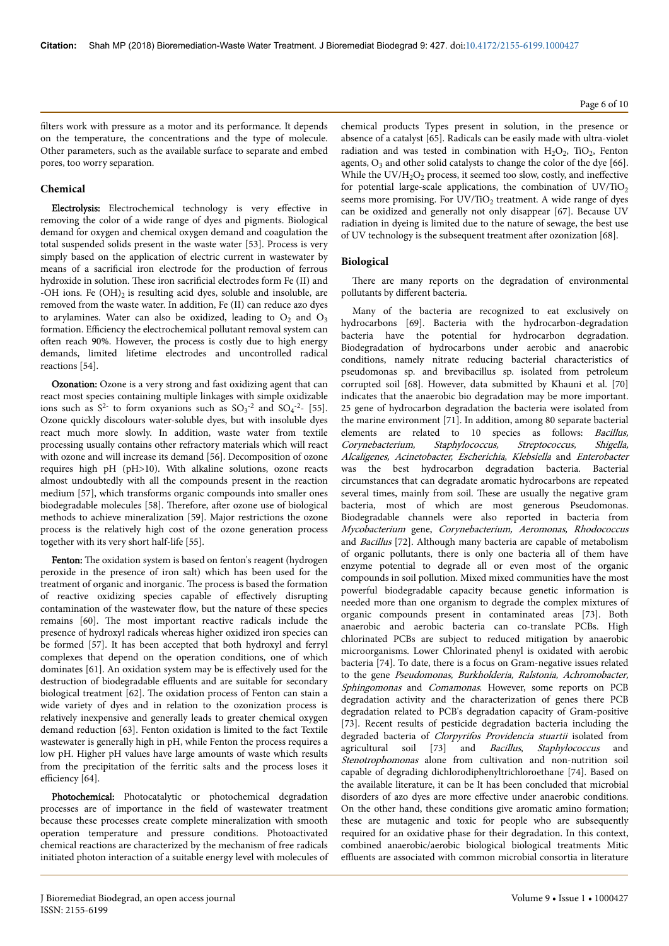#### **Chemical**

Electrolysis: Electrochemical technology is very effective in removing the color of a wide range of dyes and pigments. Biological demand for oxygen and chemical oxygen demand and coagulation the total suspended solids present in the waste water [53]. Process is very simply based on the application of electric current in wastewater by means of a sacrificial iron electrode for the production of ferrous hydroxide in solution. Нese iron sacrificial electrodes form Fe (II) and -OH ions. Fe  $(OH)$ <sub>2</sub> is resulting acid dyes, soluble and insoluble, are removed from the waste water. In addition, Fe (II) can reduce azo dyes to arylamines. Water can also be oxidized, leading to  $O_2$  and  $O_3$ formation. Efficiency the electrochemical pollutant removal system can often reach 90%. However, the process is costly due to high energy demands, limited lifetime electrodes and uncontrolled radical reactions [54].

Ozonation: Ozone is a very strong and fast oxidizing agent that can react most species containing multiple linkages with simple oxidizable ions such as  $S^2$  to form oxyanions such as  $SO_3^{-2}$  and  $SO_4^{-2}$ - [55]. Ozone quickly discolours water-soluble dyes, but with insoluble dyes react much more slowly. In addition, waste water from textile processing usually contains other refractory materials which will react with ozone and will increase its demand [56]. Decomposition of ozone requires high pH (pH>10). With alkaline solutions, ozone reacts almost undoubtedly with all the compounds present in the reaction medium [57], which transforms organic compounds into smaller ones biodegradable molecules [58]. Therefore, after ozone use of biological methods to achieve mineralization [59]. Major restrictions the ozone process is the relatively high cost of the ozone generation process together with its very short half-life [55].

Fenton: The oxidation system is based on fenton's reagent (hydrogen peroxide in the presence of iron salt) which has been used for the treatment of organic and inorganic. Нe process is based the formation of reactive oxidizing species capable of effectively disrupting contamination of the wastewater flow, but the nature of these species remains [60]. Нe most important reactive radicals include the presence of hydroxyl radicals whereas higher oxidized iron species can be formed [57]. It has been accepted that both hydroxyl and ferryl complexes that depend on the operation conditions, one of which dominates [61]. An oxidation system may be is effectively used for the destruction of biodegradable effluents and are suitable for secondary biological treatment [62]. Нe oxidation process of Fenton can stain a wide variety of dyes and in relation to the ozonization process is relatively inexpensive and generally leads to greater chemical oxygen demand reduction [63]. Fenton oxidation is limited to the fact Textile wastewater is generally high in pH, while Fenton the process requires a low pH. Higher pH values have large amounts of waste which results from the precipitation of the ferritic salts and the process loses it efficiency [64].

Photochemical: Photocatalytic or photochemical degradation processes are of importance in the field of wastewater treatment because these processes create complete mineralization with smooth operation temperature and pressure conditions. Photoactivated chemical reactions are characterized by the mechanism of free radicals initiated photon interaction of a suitable energy level with molecules of chemical products Types present in solution, in the presence or absence of a catalyst [65]. Radicals can be easily made with ultra-violet radiation and was tested in combination with  $H_2O_2$ , TiO<sub>2</sub>, Fenton agents,  $O_3$  and other solid catalysts to change the color of the dye [66]. While the  $UV/H_2O_2$  process, it seemed too slow, costly, and ineffective for potential large-scale applications, the combination of  $UV/TiO<sub>2</sub>$ seems more promising. For UV/TiO<sub>2</sub> treatment. A wide range of dyes can be oxidized and generally not only disappear [67]. Because UV radiation in dyeing is limited due to the nature of sewage, the best use of UV technology is the subsequent treatment after ozonization [68].

### **Biological**

There are many reports on the degradation of environmental pollutants by different bacteria.

Many of the bacteria are recognized to eat exclusively on hydrocarbons [69]. Bacteria with the hydrocarbon-degradation bacteria have the potential for hydrocarbon degradation. Biodegradation of hydrocarbons under aerobic and anaerobic conditions, namely nitrate reducing bacterial characteristics of pseudomonas sp. and brevibacillus sp. isolated from petroleum corrupted soil [68]. However, data submitted by Khauni et al. [70] indicates that the anaerobic bio degradation may be more important. 25 gene of hydrocarbon degradation the bacteria were isolated from the marine environment [71]. In addition, among 80 separate bacterial elements are related to 10 species as follows: Bacillus, Corynebacterium, Staphylococcus, Streptococcus, Shigella, Alcaligenes, Acinetobacter, Escherichia, Klebsiella and Enterobacter was the best hydrocarbon degradation bacteria. Bacterial circumstances that can degradate aromatic hydrocarbons are repeated several times, mainly from soil. Нese are usually the negative gram bacteria, most of which are most generous Pseudomonas. Biodegradable channels were also reported in bacteria from Mycobacterium gene, Corynebacterium, Aeromonas, Rhodococcus and Bacillus [72]. Although many bacteria are capable of metabolism of organic pollutants, there is only one bacteria all of them have enzyme potential to degrade all or even most of the organic compounds in soil pollution. Mixed mixed communities have the most powerful biodegradable capacity because genetic information is needed more than one organism to degrade the complex mixtures of organic compounds present in contaminated areas [73]. Both anaerobic and aerobic bacteria can co-translate PCBs. High chlorinated PCBs are subject to reduced mitigation by anaerobic microorganisms. Lower Chlorinated phenyl is oxidated with aerobic bacteria [74]. To date, there is a focus on Gram-negative issues related to the gene Pseudomonas, Burkholderia, Ralstonia, Achromobacter, Sphingomonas and Comamonas. However, some reports on PCB degradation activity and the characterization of genes there PCB degradation related to PCB's degradation capacity of Gram-positive [73]. Recent results of pesticide degradation bacteria including the degraded bacteria of *Clorpyrifos Providencia stuartii* isolated from agricultural soil [73] and Bacillus, Staphylococcus and Stenotrophomonas alone from cultivation and non-nutrition soil capable of degrading dichlorodiphenyltrichloroethane [74]. Based on the available literature, it can be It has been concluded that microbial disorders of azo dyes are more effective under anaerobic conditions. On the other hand, these conditions give aromatic amino formation; these are mutagenic and toxic for people who are subsequently required for an oxidative phase for their degradation. In this context, combined anaerobic/aerobic biological biological treatments Mitic effluents are associated with common microbial consortia in literature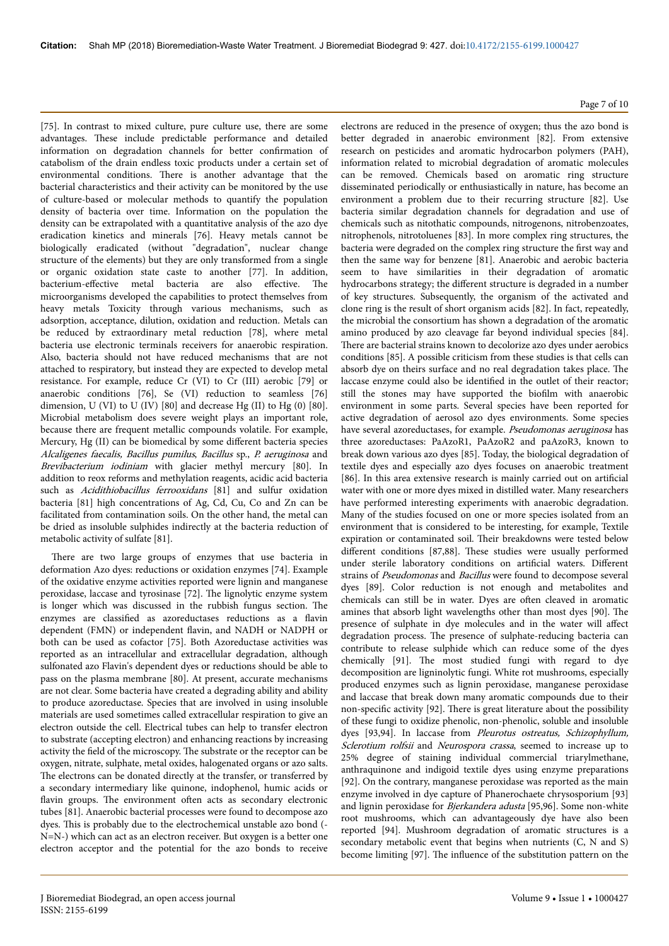Page 7 of 10

[75]. In contrast to mixed culture, pure culture use, there are some advantages. Нese include predictable performance and detailed information on degradation channels for better confirmation of catabolism of the drain endless toxic products under a certain set of environmental conditions. Нere is another advantage that the bacterial characteristics and their activity can be monitored by the use of culture-based or molecular methods to quantify the population density of bacteria over time. Information on the population the density can be extrapolated with a quantitative analysis of the azo dye eradication kinetics and minerals [76]. Heavy metals cannot be biologically eradicated (without "degradation", nuclear change structure of the elements) but they are only transformed from a single or organic oxidation state caste to another [77]. In addition, bacterium-effective metal bacteria are also effective. The microorganisms developed the capabilities to protect themselves from heavy metals Toxicity through various mechanisms, such as adsorption, acceptance, dilution, oxidation and reduction. Metals can be reduced by extraordinary metal reduction [78], where metal bacteria use electronic terminals receivers for anaerobic respiration. Also, bacteria should not have reduced mechanisms that are not attached to respiratory, but instead they are expected to develop metal resistance. For example, reduce Cr (VI) to Cr (III) aerobic [79] or anaerobic conditions [76], Se (VI) reduction to seamless [76] dimension, U (VI) to U (IV) [80] and decrease Hg (II) to Hg (0) [80]. Microbial metabolism does severe weight plays an important role, because there are frequent metallic compounds volatile. For example, Mercury, Hg (II) can be biomedical by some different bacteria species Alcaligenes faecalis, Bacillus pumilus, Bacillus sp., P. aeruginosa and Brevibacterium iodiniam with glacier methyl mercury [80]. In addition to reox reforms and methylation reagents, acidic acid bacteria such as Acidithiobacillus ferrooxidans [81] and sulfur oxidation bacteria [81] high concentrations of Ag, Cd, Cu, Co and Zn can be facilitated from contamination soils. On the other hand, the metal can be dried as insoluble sulphides indirectly at the bacteria reduction of metabolic activity of sulfate [81].

There are two large groups of enzymes that use bacteria in deformation Azo dyes: reductions or oxidation enzymes [74]. Example of the oxidative enzyme activities reported were lignin and manganese peroxidase, laccase and tyrosinase [72]. Нe lignolytic enzyme system is longer which was discussed in the rubbish fungus section. Нe enzymes are classified as azoreductases reductions as a flavin dependent (FMN) or independent flavin, and NADH or NADPH or both can be used as cofactor [75]. Both Azoreductase activities was reported as an intracellular and extracellular degradation, although sulfonated azo Flavin's dependent dyes or reductions should be able to pass on the plasma membrane [80]. At present, accurate mechanisms are not clear. Some bacteria have created a degrading ability and ability to produce azoreductase. Species that are involved in using insoluble materials are used sometimes called extracellular respiration to give an electron outside the cell. Electrical tubes can help to transfer electron to substrate (accepting electron) and enhancing reactions by increasing activity the field of the microscopy. Нe substrate or the receptor can be oxygen, nitrate, sulphate, metal oxides, halogenated organs or azo salts. The electrons can be donated directly at the transfer, or transferred by a secondary intermediary like quinone, indophenol, humic acids or flavin groups. The environment often acts as secondary electronic tubes [81]. Anaerobic bacterial processes were found to decompose azo dyes. Нis is probably due to the electrochemical unstable azo bond (- N=N-) which can act as an electron receiver. But oxygen is a better one electron acceptor and the potential for the azo bonds to receive electrons are reduced in the presence of oxygen; thus the azo bond is better degraded in anaerobic environment [82]. From extensive research on pesticides and aromatic hydrocarbon polymers (PAH), information related to microbial degradation of aromatic molecules can be removed. Chemicals based on aromatic ring structure disseminated periodically or enthusiastically in nature, has become an environment a problem due to their recurring structure [82]. Use bacteria similar degradation channels for degradation and use of chemicals such as nitothatic compounds, nitrogenons, nitrobenzoates, nitrophenols, nitrotoluenes [83]. In more complex ring structures, the bacteria were degraded on the complex ring structure the first way and then the same way for benzene [81]. Anaerobic and aerobic bacteria seem to have similarities in their degradation of aromatic hydrocarbons strategy; the different structure is degraded in a number of key structures. Subsequently, the organism of the activated and clone ring is the result of short organism acids [82]. In fact, repeatedly, the microbial the consortium has shown a degradation of the aromatic amino produced by azo cleavage far beyond individual species [84]. There are bacterial strains known to decolorize azo dyes under aerobics conditions [85]. A possible criticism from these studies is that cells can absorb dye on theirs surface and no real degradation takes place. Нe laccase enzyme could also be identified in the outlet of their reactor; still the stones may have supported the biofilm with anaerobic environment in some parts. Several species have been reported for active degradation of aerosol azo dyes environments. Some species have several azoreductases, for example. Pseudomonas aeruginosa has three azoreductases: PaAzoR1, PaAzoR2 and paAzoR3, known to break down various azo dyes [85]. Today, the biological degradation of textile dyes and especially azo dyes focuses on anaerobic treatment [86]. In this area extensive research is mainly carried out on artificial water with one or more dyes mixed in distilled water. Many researchers have performed interesting experiments with anaerobic degradation. Many of the studies focused on one or more species isolated from an environment that is considered to be interesting, for example, Textile expiration or contaminated soil. Нeir breakdowns were tested below different conditions [87,88]. These studies were usually performed under sterile laboratory conditions on artificial waters. Different strains of Pseudomonas and Bacillus were found to decompose several dyes [89]. Color reduction is not enough and metabolites and chemicals can still be in water. Dyes are often cleaved in aromatic amines that absorb light wavelengths other than most dyes [90]. Нe presence of sulphate in dye molecules and in the water will affect degradation process. Нe presence of sulphate-reducing bacteria can contribute to release sulphide which can reduce some of the dyes chemically [91]. Нe most studied fungi with regard to dye decomposition are ligninolytic fungi. White rot mushrooms, especially produced enzymes such as lignin peroxidase, manganese peroxidase and laccase that break down many aromatic compounds due to their non-specific activity [92]. Нere is great literature about the possibility of these fungi to oxidize phenolic, non-phenolic, soluble and insoluble dyes [93,94]. In laccase from Pleurotus ostreatus, Schizophyllum, Sclerotium rolfsii and Neurospora crassa, seemed to increase up to 25% degree of staining individual commercial triarylmethane, anthraquinone and indigoid textile dyes using enzyme preparations [92]. On the contrary, manganese peroxidase was reported as the main enzyme involved in dye capture of Phanerochaete chrysosporium [93] and lignin peroxidase for Bjerkandera adusta [95,96]. Some non-white root mushrooms, which can advantageously dye have also been reported [94]. Mushroom degradation of aromatic structures is a secondary metabolic event that begins when nutrients (C, N and S) become limiting [97]. Нe influence of the substitution pattern on the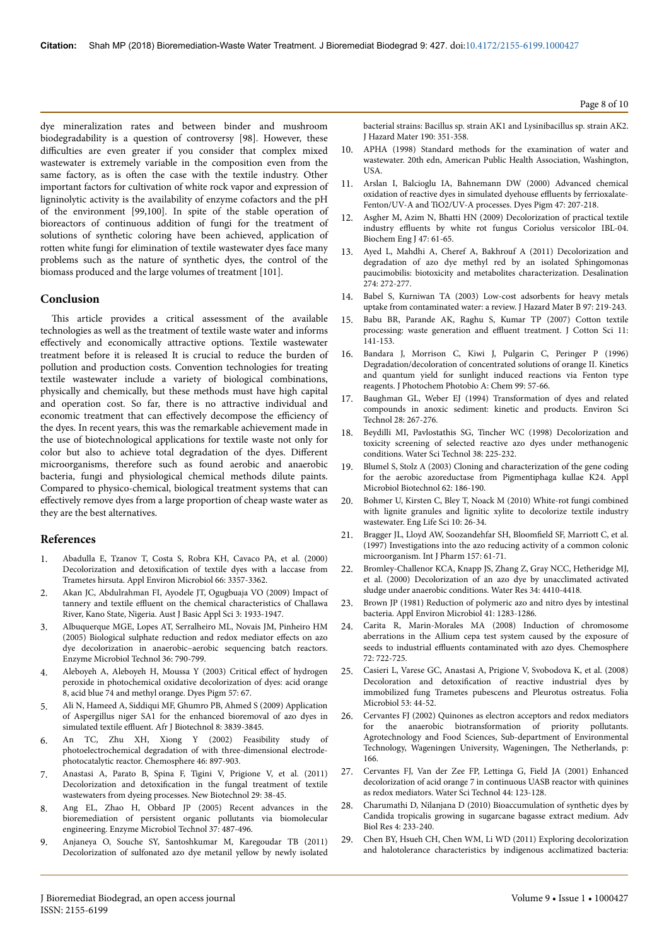dye mineralization rates and between binder and mushroom biodegradability is a question of controversy [98]. However, these difficulties are even greater if you consider that complex mixed wastewater is extremely variable in the composition even from the same factory, as is often the case with the textile industry. Other important factors for cultivation of white rock vapor and expression of ligninolytic activity is the availability of enzyme cofactors and the pH of the environment [99,100]. In spite of the stable operation of bioreactors of continuous addition of fungi for the treatment of solutions of synthetic coloring have been achieved, application of rotten white fungi for elimination of textile wastewater dyes face many problems such as the nature of synthetic dyes, the control of the biomass produced and the large volumes of treatment [101].

### **Conclusion**

This article provides a critical assessment of the available technologies as well as the treatment of textile waste water and informs effectively and economically attractive options. Textile wastewater treatment before it is released It is crucial to reduce the burden of pollution and production costs. Convention technologies for treating textile wastewater include a variety of biological combinations, physically and chemically, but these methods must have high capital and operation cost. So far, there is no attractive individual and economic treatment that can effectively decompose the efficiency of the dyes. In recent years, this was the remarkable achievement made in the use of biotechnological applications for textile waste not only for color but also to achieve total degradation of the dyes. Different microorganisms, therefore such as found aerobic and anaerobic bacteria, fungi and physiological chemical methods dilute paints. Compared to physico-chemical, biological treatment systems that can effectively remove dyes from a large proportion of cheap waste water as they are the best alternatives.

# **References**

- 1. [Abadulla E, Tzanov T, Costa S, Robra KH, Cavaco PA, et al. \(2000\)](http://aem.asm.org/content/66/8/3357.short) Decolorization and detoxification [of textile dyes with a laccase from](http://aem.asm.org/content/66/8/3357.short) [Trametes hirsuta. Appl Environ Microbiol 66: 3357-3362.](http://aem.asm.org/content/66/8/3357.short)
- 2. [Akan JC, Abdulrahman FI, Ayodele JT, Ogugbuaja VO \(2009\) Impact of](https://www.researchgate.net/profile/Akan_Jc/publication/265155648_Impact_of_Tannery_and_Textile_Effluent_on_the_Chemical_Characteristics_of_Challawa_River_Kano_State_Nigeria/links/54cfd2460cf298d65665a5e4.pdf) tannery and textile effluent [on the chemical characteristics of Challawa](https://www.researchgate.net/profile/Akan_Jc/publication/265155648_Impact_of_Tannery_and_Textile_Effluent_on_the_Chemical_Characteristics_of_Challawa_River_Kano_State_Nigeria/links/54cfd2460cf298d65665a5e4.pdf) [River, Kano State, Nigeria. Aust J Basic Appl Sci 3: 1933-1947.](https://www.researchgate.net/profile/Akan_Jc/publication/265155648_Impact_of_Tannery_and_Textile_Effluent_on_the_Chemical_Characteristics_of_Challawa_River_Kano_State_Nigeria/links/54cfd2460cf298d65665a5e4.pdf)
- 3. [Albuquerque MGE, Lopes AT, Serralheiro ML, Novais JM, Pinheiro HM](http://www.sciencedirect.com/science/article/pii/S0141022905000116)  $(2005)$  Biological sulphate reduction and redox mediator effects on azo [dye decolorization in anaerobic–aerobic sequencing batch reactors.](http://www.sciencedirect.com/science/article/pii/S0141022905000116) [Enzyme Microbiol Technol 36: 790-799.](http://www.sciencedirect.com/science/article/pii/S0141022905000116)
- 4. [Aleboyeh A, Aleboyeh H, Moussa Y \(2003\) Critical](http://www.sciencedirect.com/science/article/pii/S014372080300010X) effect of hydrogen [peroxide in photochemical oxidative decolorization of dyes: acid orange](http://www.sciencedirect.com/science/article/pii/S014372080300010X) [8, acid blue 74 and methyl orange. Dyes Pigm 57: 67](http://www.sciencedirect.com/science/article/pii/S014372080300010X).
- 5. [Ali N, Hameed A, Siddiqui MF, Ghumro PB, Ahmed S \(2009\) Application](https://www.ajol.info/index.php/ajb/article/view/62069) [of Aspergillus niger SA1 for the enhanced bioremoval of azo dyes in](https://www.ajol.info/index.php/ajb/article/view/62069) simulated textile effluent. [Afr J Biotechnol 8: 3839-3845.](https://www.ajol.info/index.php/ajb/article/view/62069)
- 6. [An TC, Zhu XH, Xiong Y \(2002\) Feasibility study of](http://www.sciencedirect.com/science/article/pii/S0045653501001576) [photoelectrochemical degradation of with three-dimensional electrode](http://www.sciencedirect.com/science/article/pii/S0045653501001576)[photocatalytic reactor. Chemosphere 46: 897-903.](http://www.sciencedirect.com/science/article/pii/S0045653501001576)
- 7. [Anastasi A, Parato B, Spina F, Tigini V, Prigione V, et al. \(2011\)](http://www.sciencedirect.com/science/article/pii/S1871678411001907) Decolorization and detoxification [in the fungal treatment of textile](http://www.sciencedirect.com/science/article/pii/S1871678411001907) [wastewaters from dyeing processes. New Biotechnol 29: 38-45](http://www.sciencedirect.com/science/article/pii/S1871678411001907).
- 8. [Ang EL, Zhao H, Obbard JP \(2005\) Recent advances in the](http://www.sciencedirect.com/science/article/pii/S0141022905001262) [bioremediation of persistent organic pollutants via biomolecular](http://www.sciencedirect.com/science/article/pii/S0141022905001262) [engineering. Enzyme Microbiol Technol 37: 487-496.](http://www.sciencedirect.com/science/article/pii/S0141022905001262)
- 9. [Anjaneya O, Souche SY, Santoshkumar M, Karegoudar TB \(2011\)](http://www.sciencedirect.com/science/article/pii/S0304389411003475) [Decolorization of sulfonated azo dye metanil yellow by newly isolated](http://www.sciencedirect.com/science/article/pii/S0304389411003475)

[bacterial strains: Bacillus sp. strain AK1 and Lysinibacillus sp. strain AK2.](http://www.sciencedirect.com/science/article/pii/S0304389411003475) [J Hazard Mater 190: 351-358.](http://www.sciencedirect.com/science/article/pii/S0304389411003475)

- 10. APHA (1998) Standard methods for the examination of water and wastewater. 20th edn, American Public Health Association, Washington, USA.
- 11. [Arslan I, Balcioglu IA, Bahnemann DW \(2000\) Advanced chemical](http://www.sciencedirect.com/science/article/pii/S0143720800000826) [oxidation of reactive dyes in simulated dyehouse](http://www.sciencedirect.com/science/article/pii/S0143720800000826) effluents by ferrioxalate-[Fenton/UV-A and TiO2/UV-A processes. Dyes Pigm 47: 207-218.](http://www.sciencedirect.com/science/article/pii/S0143720800000826)
- 12. [Asgher M, Azim N, Bhatti HN \(2009\) Decolorization of practical textile](http://www.sciencedirect.com/science/article/pii/S1369703X09002101) industry effluents [by white rot fungus Coriolus versicolor IBL-04.](http://www.sciencedirect.com/science/article/pii/S1369703X09002101) [Biochem Eng J 47: 61-65](http://www.sciencedirect.com/science/article/pii/S1369703X09002101).
- [Ayed L, Mahdhi A, Cheref A, Bakhrouf A \(2011\) Decolorization and](http://www.sciencedirect.com/science/article/pii/S0011916411001500) [degradation of azo dye methyl red by an isolated Sphingomonas](http://www.sciencedirect.com/science/article/pii/S0011916411001500) [paucimobilis: biotoxicity and metabolites characterization. Desalination](http://www.sciencedirect.com/science/article/pii/S0011916411001500) [274: 272-277.](http://www.sciencedirect.com/science/article/pii/S0011916411001500)
- 14. [Babel S, Kurniwan TA \(2003\) Low-cost adsorbents for heavy metals](http://www.sciencedirect.com/science/article/pii/S0304389402002637) [uptake from contaminated water: a review. J Hazard Mater B 97: 219-243.](http://www.sciencedirect.com/science/article/pii/S0304389402002637)
- 15. Babu BR, Parande AK, Raghu S, Kumar TP (2007) Cotton textile processing: waste generation and effluent treatment. J Cotton Sci 11: 141-153.
- 16. [Bandara J, Morrison C, Kiwi J, Pulgarin C, Peringer P \(1996\)](http://www.sciencedirect.com/science/article/pii/1010603096043390) [Degradation/decoloration of concentrated solutions of orange II. Kinetics](http://www.sciencedirect.com/science/article/pii/1010603096043390) [and quantum yield for sunlight induced reactions via Fenton type](http://www.sciencedirect.com/science/article/pii/1010603096043390) [reagents. J Photochem Photobio A: Chem 99: 57-66.](http://www.sciencedirect.com/science/article/pii/1010603096043390)
- 17. [Baughman GL, Weber EJ \(1994\) Transformation of dyes and related](http://pubs.acs.org/doi/pdf/10.1021/es00051a013) [compounds in anoxic sediment: kinetic and products. Environ Sci](http://pubs.acs.org/doi/pdf/10.1021/es00051a013) [Technol 28: 267-276](http://pubs.acs.org/doi/pdf/10.1021/es00051a013).
- 18. [Beydilli MI, Pavlostathis SG, Tincher WC \(1998\) Decolorization and](http://www.sciencedirect.com/science/article/pii/S0273122398005319) [toxicity screening of selected reactive azo dyes under methanogenic](http://www.sciencedirect.com/science/article/pii/S0273122398005319) [conditions. Water Sci Technol 38: 225-232.](http://www.sciencedirect.com/science/article/pii/S0273122398005319)
- 19. [Blumel S, Stolz A \(2003\) Cloning and characterization of the gene coding](http://link.springer.com/article/10.1007/s00253-003-1316-5) [for the aerobic azoreductase from Pigmentiphaga kullae K24. Appl](http://link.springer.com/article/10.1007/s00253-003-1316-5) [Microbiol Biotechnol 62: 186-190.](http://link.springer.com/article/10.1007/s00253-003-1316-5)
- 20. [Bohmer U, Kirsten C, Bley T, Noack M \(2010\) White-rot fungi combined](http://onlinelibrary.wiley.com/doi/10.1002/elsc.200900024/full) [with lignite granules and lignitic xylite to decolorize textile industry](http://onlinelibrary.wiley.com/doi/10.1002/elsc.200900024/full) [wastewater. Eng Life Sci 10: 26-34.](http://onlinelibrary.wiley.com/doi/10.1002/elsc.200900024/full)
- 21. [Bragger JL, Lloyd AW, Soozandehfar SH,](http://www.sciencedirect.com/science/article/pii/S0378517397002147) Bloomfield SF, Marriott C, et al. [\(1997\) Investigations into the azo reducing activity of a common colonic](http://www.sciencedirect.com/science/article/pii/S0378517397002147) [microorganism. Int J Pharm 157: 61-71.](http://www.sciencedirect.com/science/article/pii/S0378517397002147)
- 22. [Bromley-Challenor KCA, Knapp JS, Zhang Z, Gray NCC, Hetheridge MJ,](http://www.sciencedirect.com/science/article/pii/S0043135400002128) [et al. \(2000\) Decolorization of an azo dye by unacclimated activated](http://www.sciencedirect.com/science/article/pii/S0043135400002128) [sludge under anaerobic conditions. Water Res 34: 4410-4418](http://www.sciencedirect.com/science/article/pii/S0043135400002128).
- 23. [Brown JP \(1981\) Reduction of polymeric azo and nitro dyes by intestinal](http://aem.asm.org/content/41/5/1283.short) [bacteria. Appl Environ Microbiol 41: 1283-1286.](http://aem.asm.org/content/41/5/1283.short)
- 24. [Carita R, Marin-Morales MA \(2008\) Induction of chromosome](http://www.sciencedirect.com/science/article/pii/S0045653508004372) [aberrations in the Allium cepa test system caused by the exposure of](http://www.sciencedirect.com/science/article/pii/S0045653508004372) seeds to industrial effluents [contaminated with azo dyes. Chemosphere](http://www.sciencedirect.com/science/article/pii/S0045653508004372) [72: 722-725.](http://www.sciencedirect.com/science/article/pii/S0045653508004372)
- 25. Casieri L, Varese GC, Anastasi A, Prigione V, Svobodova K, et al. (2008) Decoloration and detoxification of reactive industrial dyes by immobilized fung Trametes pubescens and Pleurotus ostreatus. Folia Microbiol 53: 44-52.
- 26. [Cervantes FJ \(2002\) Quinones as electron acceptors and redox mediators](http://library.wur.nl/WebQuery/wurpubs/fulltext/196511) [for the anaerobic biotransformation of priority pollutants.](http://library.wur.nl/WebQuery/wurpubs/fulltext/196511) [Agrotechnology and Food Sciences, Sub-department of Environmental](http://library.wur.nl/WebQuery/wurpubs/fulltext/196511) [Technology, Wageningen University, Wageningen,](http://library.wur.nl/WebQuery/wurpubs/fulltext/196511) Нe Netherlands, p: [166](http://library.wur.nl/WebQuery/wurpubs/fulltext/196511).
- 27. Cervantes FJ, Van der Zee FP, Lettinga G, Field JA (2001) Enhanced decolorization of acid orange 7 in continuous UASB reactor with quinines as redox mediators. Water Sci Technol 44: 123-128.
- 28. [Charumathi D, Nilanjana D \(2010\) Bioaccumulation of synthetic dyes by](https://www.researchgate.net/profile/Nilanjana_Das5/publication/265422559_Bioaccumulation_of_Synthetic_Dyes_by_Candida_tropicalis_Growing_in_Sugarcane_Bagasse_Extract_Medium/links/582302f308ae7ea5be71be05/Bioaccumulation-of-Synthetic-Dyes-by-Candida-tropicalis-Growing-in-Sugarcane-Bagasse-Extract-Medium.pdf) [Candida tropicalis growing in sugarcane bagasse extract medium. Adv](https://www.researchgate.net/profile/Nilanjana_Das5/publication/265422559_Bioaccumulation_of_Synthetic_Dyes_by_Candida_tropicalis_Growing_in_Sugarcane_Bagasse_Extract_Medium/links/582302f308ae7ea5be71be05/Bioaccumulation-of-Synthetic-Dyes-by-Candida-tropicalis-Growing-in-Sugarcane-Bagasse-Extract-Medium.pdf) [Biol Res 4: 233-240.](https://www.researchgate.net/profile/Nilanjana_Das5/publication/265422559_Bioaccumulation_of_Synthetic_Dyes_by_Candida_tropicalis_Growing_in_Sugarcane_Bagasse_Extract_Medium/links/582302f308ae7ea5be71be05/Bioaccumulation-of-Synthetic-Dyes-by-Candida-tropicalis-Growing-in-Sugarcane-Bagasse-Extract-Medium.pdf)
- 29. Chen BY, Hsueh CH, Chen WM, Li WD (2011) Exploring decolorization and halotolerance characteristics by indigenous acclimatized bacteria: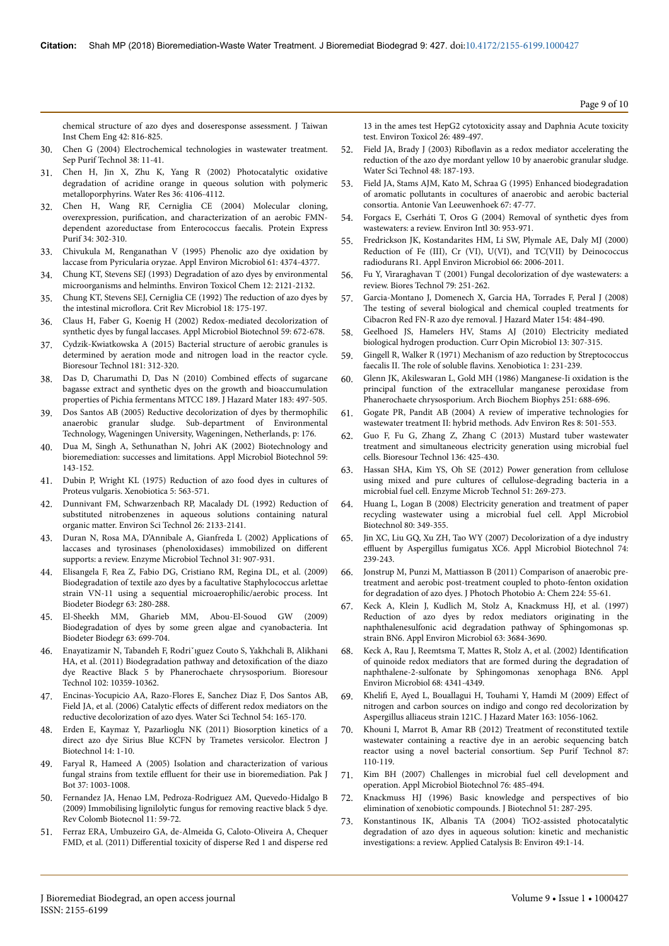chemical structure of azo dyes and doseresponse assessment. J Taiwan Inst Chem Eng 42: 816-825.

- 30. [Chen G \(2004\) Electrochemical technologies in wastewater treatment.](http://www.sciencedirect.com/science/article/pii/S1383586603002636) [Sep Purif Technol 38: 11-41.](http://www.sciencedirect.com/science/article/pii/S1383586603002636)
- 31. [Chen H, Jin X, Zhu K, Yang R \(2002\) Photocatalytic oxidative](http://www.sciencedirect.com/science/article/pii/S0043135402001161) [degradation of acridine orange in queous solution with polymeric](http://www.sciencedirect.com/science/article/pii/S0043135402001161) [metalloporphyrins. Water Res 36: 4106-4112.](http://www.sciencedirect.com/science/article/pii/S0043135402001161)
- 32. [Chen H, Wang RF, Cerniglia CE \(2004\) Molecular cloning,](http://www.sciencedirect.com/science/article/pii/S1046592804000178) overexpression, purification, [and characterization of an aerobic FMN](http://www.sciencedirect.com/science/article/pii/S1046592804000178)[dependent azoreductase from Enterococcus faecalis. Protein Express](http://www.sciencedirect.com/science/article/pii/S1046592804000178) [Purif 34: 302-310.](http://www.sciencedirect.com/science/article/pii/S1046592804000178)
- 33. [Chivukula M, Renganathan V \(1995\) Phenolic azo dye oxidation by](http://aem.asm.org/content/61/12/4374.short) [laccase from Pyricularia oryzae. Appl Environ Microbiol 61: 4374-4377.](http://aem.asm.org/content/61/12/4374.short)
- 34. Chung KT, Stevens SEJ (1993) Degradation of azo dyes by environmental microorganisms and helminths. Environ Toxicol Chem 12: 2121-2132.
- 35. [Chung KT, Stevens SEJ, Cerniglia CE \(1992\)](http://www.tandfonline.com/doi/abs/10.3109/10408419209114557) Нe reduction of azo dyes by the intestinal microflora. [Crit Rev Microbiol 18: 175-197.](http://www.tandfonline.com/doi/abs/10.3109/10408419209114557)
- 36. [Claus H, Faber G, Koenig H \(2002\) Redox-mediated decolorization of](http://www.springerlink.com/index/UL6YDM14EPBBGCRM.pdf) [synthetic dyes by fungal laccases. Appl Microbiol Biotechnol 59: 672-678.](http://www.springerlink.com/index/UL6YDM14EPBBGCRM.pdf)
- 37. [Cydzik-Kwiatkowska A \(2015\) Bacterial structure of aerobic granules is](http://www.sciencedirect.com/science/article/pii/S0960852415001212) [determined by aeration mode and nitrogen load in the reactor cycle.](http://www.sciencedirect.com/science/article/pii/S0960852415001212) [Bioresour Technol 181: 312-320.](http://www.sciencedirect.com/science/article/pii/S0960852415001212)
- 38. [Das D, Charumathi D, Das N \(2010\) Combined](http://www.sciencedirect.com/science/article/pii/S0304389410009362) effects of sugarcane [bagasse extract and synthetic dyes on the growth and bioaccumulation](http://www.sciencedirect.com/science/article/pii/S0304389410009362) [properties of Pichia fermentans MTCC 189. J Hazard Mater 183: 497-505.](http://www.sciencedirect.com/science/article/pii/S0304389410009362)
- 39. Dos Santos AB (2005) Reductive decolorization of dyes by thermophilic anaerobic granular sludge. Sub-department of Environmental Technology, Wageningen University, Wageningen, Netherlands, p: 176.
- 40. [Dua M, Singh A, Sethunathan N, Johri AK \(2002\) Biotechnology and](http://www.springerlink.com/index/4823awhf9y294dp0.pdf) [bioremediation: successes and limitations. Appl Microbiol Biotechnol 59:](http://www.springerlink.com/index/4823awhf9y294dp0.pdf) [143-152.](http://www.springerlink.com/index/4823awhf9y294dp0.pdf)
- 41. [Dubin P, Wright KL \(1975\) Reduction of azo food dyes in cultures of](http://www.tandfonline.com/doi/abs/10.3109/00498257509056126) [Proteus vulgaris. Xenobiotica 5: 563-571.](http://www.tandfonline.com/doi/abs/10.3109/00498257509056126)
- 42. [Dunnivant FM, Schwarzenbach RP, Macalady DL \(1992\) Reduction of](http://pubs.acs.org/doi/pdf/10.1021/es00035a010) [substituted nitrobenzenes in aqueous solutions containing natural](http://pubs.acs.org/doi/pdf/10.1021/es00035a010) [organic matter. Environ Sci Technol 26: 2133-2141.](http://pubs.acs.org/doi/pdf/10.1021/es00035a010)
- 43. [Duran N, Rosa MA, D'Annibale A, Gianfreda L \(2002\) Applications of](http://www.sciencedirect.com/science/article/pii/S0141022902002144) [laccases and tyrosinases \(phenoloxidases\) immobilized on](http://www.sciencedirect.com/science/article/pii/S0141022902002144) different [supports: a review. Enzyme Microbiol Technol 31: 907-931.](http://www.sciencedirect.com/science/article/pii/S0141022902002144)
- 44. [Elisangela F, Rea Z, Fabio DG, Cristiano RM, Regina DL, et al. \(2009\)](http://www.sciencedirect.com/science/article/pii/S0964830508001807) [Biodegradation of textile azo dyes by a facultative Staphylococcus arlettae](http://www.sciencedirect.com/science/article/pii/S0964830508001807) [strain VN-11 using a sequential microaerophilic/aerobic process. Int](http://www.sciencedirect.com/science/article/pii/S0964830508001807) [Biodeter Biodegr 63: 280-288.](http://www.sciencedirect.com/science/article/pii/S0964830508001807)
- 45. [El-Sheekh MM, Gharieb MM, Abou-El-Souod GW \(2009\)](http://www.sciencedirect.com/science/article/pii/S0964830509000766) [Biodegradation of dyes by some green algae and cyanobacteria. Int](http://www.sciencedirect.com/science/article/pii/S0964830509000766) [Biodeter Biodegr 63: 699-704.](http://www.sciencedirect.com/science/article/pii/S0964830509000766)
- 46. [Enayatizamir N, Tabandeh F, Rodriˇıguez Couto S, Yakhchali B, Alikhani](http://www.sciencedirect.com/science/article/pii/S0960852411012624) [HA, et al. \(2011\) Biodegradation pathway and](http://www.sciencedirect.com/science/article/pii/S0960852411012624) detoxification of the diazo [dye Reactive Black 5 by Phanerochaete chrysosporium. Bioresour](http://www.sciencedirect.com/science/article/pii/S0960852411012624) [Technol 102: 10359-10362.](http://www.sciencedirect.com/science/article/pii/S0960852411012624)
- 47. [Encinas-Yocupicio AA, Razo-Flores E, Sanchez Diaz F, Dos Santos AB,](http://wst.iwaponline.com/content/54/2/165.abstract) [Field JA, et al. \(2006\) Catalytic](http://wst.iwaponline.com/content/54/2/165.abstract) effects of different redox mediators on the [reductive decolorization of azo dyes. Water Sci Technol 54: 165-170.](http://wst.iwaponline.com/content/54/2/165.abstract)
- 48. [Erden E, Kaymaz Y, Pazarlioglu NK \(2011\) Biosorption kinetics of a](http://www.scielo.cl/scielo.php?pid=S0717-34582011000200003&script=sci_arttext&tlng=pt) [direct azo dye Sirius Blue KCFN by Trametes versicolor. Electron J](http://www.scielo.cl/scielo.php?pid=S0717-34582011000200003&script=sci_arttext&tlng=pt) [Biotechnol 14: 1-10.](http://www.scielo.cl/scielo.php?pid=S0717-34582011000200003&script=sci_arttext&tlng=pt)
- 49. [Faryal R, Hameed A \(2005\) Isolation and characterization of various](https://www.researchgate.net/profile/Rani_Faryal/publication/228478963_Isolation_and_characterization_of_various_fungal_strains_from_textile_effluent_for_their_use_in_bioremediation/links/0fcfd50fbe86843ec8000000/Isolation-and-characterization-of-various-fungal-strains-from-textile-effluent-for-their-use-in-bioremediation.pdf) fungal strains from textile effluent [for their use in bioremediation. Pak J](https://www.researchgate.net/profile/Rani_Faryal/publication/228478963_Isolation_and_characterization_of_various_fungal_strains_from_textile_effluent_for_their_use_in_bioremediation/links/0fcfd50fbe86843ec8000000/Isolation-and-characterization-of-various-fungal-strains-from-textile-effluent-for-their-use-in-bioremediation.pdf) [Bot 37: 1003-1008.](https://www.researchgate.net/profile/Rani_Faryal/publication/228478963_Isolation_and_characterization_of_various_fungal_strains_from_textile_effluent_for_their_use_in_bioremediation/links/0fcfd50fbe86843ec8000000/Isolation-and-characterization-of-various-fungal-strains-from-textile-effluent-for-their-use-in-bioremediation.pdf)
- 50. [Fernandez JA, Henao LM, Pedroza-Rodriguez AM, Quevedo-Hidalgo B](http://www.scielo.org.co/scielo.php?script=sci_arttext&pid=S0123-34752009000100007) [\(2009\) Immobilising lignilolytic fungus for removing reactive black 5 dye.](http://www.scielo.org.co/scielo.php?script=sci_arttext&pid=S0123-34752009000100007) [Rev Colomb Biotecnol 11: 59-72.](http://www.scielo.org.co/scielo.php?script=sci_arttext&pid=S0123-34752009000100007)
- 51. [Ferraz ERA, Umbuzeiro GA, de-Almeida G, Caloto-Oliveira A, Chequer](http://onlinelibrary.wiley.com/doi/10.1002/tox.20576/full) FMD, et al. (2011) Differential [toxicity of disperse Red 1 and disperse red](http://onlinelibrary.wiley.com/doi/10.1002/tox.20576/full)

[13 in the ames test HepG2 cytotoxicity assay and Daphnia Acute toxicity](http://onlinelibrary.wiley.com/doi/10.1002/tox.20576/full) [test. Environ Toxicol 26: 489-497.](http://onlinelibrary.wiley.com/doi/10.1002/tox.20576/full)

- 52. Field JA, Brady J (2003) Riboflavin [as a redox mediator accelerating the](http://wst.iwaponline.com/content/48/6/187.abstract) [reduction of the azo dye mordant yellow 10 by anaerobic granular sludge.](http://wst.iwaponline.com/content/48/6/187.abstract) [Water Sci Technol 48: 187-193.](http://wst.iwaponline.com/content/48/6/187.abstract)
- 53. [Field JA, Stams AJM, Kato M, Schraa G \(1995\) Enhanced biodegradation](http://link.springer.com/article/10.1007/BF00872195) [of aromatic pollutants in cocultures of anaerobic and aerobic bacterial](http://link.springer.com/article/10.1007/BF00872195) [consortia. Antonie Van Leeuwenhoek 67: 47-77.](http://link.springer.com/article/10.1007/BF00872195)
- 54. [Forgacs E, Cserháti T, Oros G \(2004\) Removal of synthetic dyes from](http://www.sciencedirect.com/science/article/pii/S0160412004000340/) [wastewaters: a review. Environ Intl 30: 953-971.](http://www.sciencedirect.com/science/article/pii/S0160412004000340/)
- 55. [Fredrickson JK, Kostandarites HM, Li SW, Plymale AE, Daly MJ \(2000\)](http://aem.asm.org/content/66/5/2006.short) [Reduction of Fe \(III\), Cr \(VI\), U\(VI\), and TC\(VII\) by Deinococcus](http://aem.asm.org/content/66/5/2006.short) [radiodurans R1. Appl Environ Microbiol 66: 2006-2011.](http://aem.asm.org/content/66/5/2006.short)
- 56. Fu Y, Viraraghavan T (2001) Fungal decolorization of dye wastewaters: a review. Biores Technol 79: 251-262.
- 57. [Garcia-Montano J, Domenech X, Garcia HA, Torrades F, Peral J \(2008\)](http://www.sciencedirect.com/science/article/pii/S0304389407014987) The [testing of several biological and chemical coupled treatments for](http://www.sciencedirect.com/science/article/pii/S0304389407014987) [Cibacron Red FN-R azo dye removal. J Hazard Mater 154: 484-490.](http://www.sciencedirect.com/science/article/pii/S0304389407014987)
- 58. [Geelhoed JS, Hamelers HV, Stams AJ \(2010\) Electricity mediated](http://www.sciencedirect.com/science/article/pii/S1369527410000238) [biological hydrogen production. Curr Opin Microbiol 13: 307-315.](http://www.sciencedirect.com/science/article/pii/S1369527410000238)
- 59. [Gingell R, Walker R \(1971\) Mechanism of azo reduction by Streptococcus](http://www.tandfonline.com/doi/abs/10.3109/00498257109033172) faecalis II. Нe role of soluble flavins. [Xenobiotica 1: 231-239.](http://www.tandfonline.com/doi/abs/10.3109/00498257109033172)
- 60. Glenn JK, Akileswaran L, Gold MH (1986) Manganese-Ii oxidation is the principal function of the extracellular manganese peroxidase from Phanerochaete chrysosporium. Arch Biochem Biophys 251: 688-696.
- 61. [Gogate PR, Pandit AB \(2004\) A review of imperative technologies for](http://www.sciencedirect.com/science/article/pii/S1093019103000315) [wastewater treatment II: hybrid methods. Adv Environ Res 8: 501-553.](http://www.sciencedirect.com/science/article/pii/S1093019103000315)
- 62. [Guo F, Fu G, Zhang Z, Zhang C \(2013\) Mustard tuber wastewater](http://www.sciencedirect.com/science/article/pii/S0960852413003519) [treatment and simultaneous electricity generation using microbial fuel](http://www.sciencedirect.com/science/article/pii/S0960852413003519) [cells. Bioresour Technol 136: 425-430.](http://www.sciencedirect.com/science/article/pii/S0960852413003519)
- 63. [Hassan SHA, Kim YS, Oh SE \(2012\) Power generation from cellulose](http://www.sciencedirect.com/science/article/pii/S0141022912001214) [using mixed and pure cultures of cellulose-degrading bacteria in a](http://www.sciencedirect.com/science/article/pii/S0141022912001214) [microbial fuel cell. Enzyme Microb Technol 51: 269-273.](http://www.sciencedirect.com/science/article/pii/S0141022912001214)
- 64. [Huang L, Logan B \(2008\) Electricity generation and treatment of paper](http://link.springer.com/article/10.1007/s00253-008-1546-7) [recycling wastewater using a microbial fuel cell. Appl Microbiol](http://link.springer.com/article/10.1007/s00253-008-1546-7) [Biotechnol 80: 349-355.](http://link.springer.com/article/10.1007/s00253-008-1546-7)
- [Jin XC, Liu GQ, Xu ZH, Tao WY \(2007\) Decolorization of a dye industry](http://link.springer.com/article/10.1007/s00253-006-0658-1) effluent [by Aspergillus fumigatus XC6. Appl Microbiol Biotechnol 74:](http://link.springer.com/article/10.1007/s00253-006-0658-1) [239-243.](http://link.springer.com/article/10.1007/s00253-006-0658-1)
- 66. [Jonstrup M, Punzi M, Mattiasson B \(2011\) Comparison of anaerobic pre](http://www.sciencedirect.com/science/article/pii/S1010603011003753)[treatment and aerobic post-treatment coupled to photo-fenton oxidation](http://www.sciencedirect.com/science/article/pii/S1010603011003753) [for degradation of azo dyes. J Photoch Photobio A: Chem 224: 55-61.](http://www.sciencedirect.com/science/article/pii/S1010603011003753)
- 67. [Keck A, Klein J, Kudlich M, Stolz A, Knackmuss HJ, et al. \(1997\)](http://aem.asm.org/content/63/9/3684.short) [Reduction of azo dyes by redox mediators originating in the](http://aem.asm.org/content/63/9/3684.short) [naphthalenesulfonic acid degradation pathway of Sphingomonas sp.](http://aem.asm.org/content/63/9/3684.short) [strain BN6. Appl Environ Microbiol 63: 3684-3690.](http://aem.asm.org/content/63/9/3684.short)
- 68. [Keck A, Rau J, Reemtsma T, Mattes R, Stolz A, et al. \(2002\)](http://aem.asm.org/content/68/9/4341.short) Identification [of quinoide redox mediators that are formed during the degradation of](http://aem.asm.org/content/68/9/4341.short) [naphthalene-2-sulfonate by Sphingomonas xenophaga BN6. Appl](http://aem.asm.org/content/68/9/4341.short) [Environ Microbiol 68: 4341-4349.](http://aem.asm.org/content/68/9/4341.short)
- 69. Khelifi [E, Ayed L, Bouallagui H, Touhami Y, Hamdi M \(2009\)](http://www.sciencedirect.com/science/article/pii/S0304389408010959) Effect of [nitrogen and carbon sources on indigo and congo red decolorization by](http://www.sciencedirect.com/science/article/pii/S0304389408010959) [Aspergillus alliaceus strain 121C. J Hazard Mater 163: 1056-1062.](http://www.sciencedirect.com/science/article/pii/S0304389408010959)
- 70. [Khouni I, Marrot B, Amar RB \(2012\) Treatment of reconstituted textile](http://www.sciencedirect.com/science/article/pii/S1383586611006964) [wastewater containing a reactive dye in an aerobic sequencing batch](http://www.sciencedirect.com/science/article/pii/S1383586611006964) [reactor using a novel bacterial consortium. Sep Purif Technol 87:](http://www.sciencedirect.com/science/article/pii/S1383586611006964) [110-119.](http://www.sciencedirect.com/science/article/pii/S1383586611006964)
- 71. [Kim BH \(2007\) Challenges in microbial fuel cell development and](http://link.springer.com/article/10.1007/s00253-007-1027-4) [operation. Appl Microbiol Biotechnol 76: 485-494.](http://link.springer.com/article/10.1007/s00253-007-1027-4)
- 72. [Knackmuss HJ \(1996\) Basic knowledge and perspectives of bio](http://www.sciencedirect.com/science/article/pii/S0168165696016082) [elimination of xenobiotic compounds. J Biotechnol 51: 287-295.](http://www.sciencedirect.com/science/article/pii/S0168165696016082)
- 73. [Konstantinous IK, Albanis TA \(2004\) TiO2-assisted photocatalytic](http://www.sciencedirect.com/science/article/pii/S0926337303005411) [degradation of azo dyes in aqueous solution: kinetic and mechanistic](http://www.sciencedirect.com/science/article/pii/S0926337303005411) [investigations: a review. Applied Catalysis B: Environ 49:1-14.](http://www.sciencedirect.com/science/article/pii/S0926337303005411)